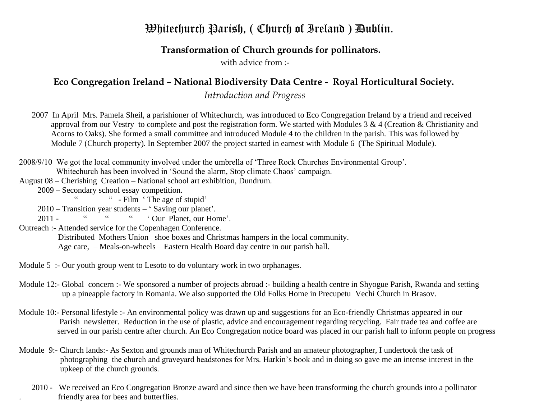## $\mathfrak B$ hitechurch Parish, (Church of Ireland) Dublin.

## **Transformation of Church grounds for pollinators.**

with advice from :-

## **Eco Congregation Ireland – National Biodiversity Data Centre - Royal Horticultural Society.**

*Introduction and Progress*

2007 In April Mrs. Pamela Sheil, a parishioner of Whitechurch, was introduced to Eco Congregation Ireland by a friend and received approval from our Vestry to complete and post the registration form. We started with Modules 3 & 4 (Creation & Christianity and Acorns to Oaks). She formed a small committee and introduced Module 4 to the children in the parish. This was followed by Module 7 (Church property). In September 2007 the project started in earnest with Module 6 (The Spiritual Module).

- 2008/9/10 We got the local community involved under the umbrella of 'Three Rock Churches Environmental Group'. Whitechurch has been involved in 'Sound the alarm, Stop climate Chaos' campaign.
- August 08 Cherishing Creation National school art exhibition, Dundrum.
	- 2009 Secondary school essay competition.

" - Film ' The age of stupid'

 $2010 -$  Transition year students – 'Saving our planet'.<br>2011  $\frac{u}{v}$   $\frac{u}{v}$   $\frac{u}{v}$   $\frac{v}{v}$   $\frac{v}{v}$   $\frac{v}{v}$   $\frac{v}{v}$   $\frac{v}{v}$   $\frac{v}{v}$ 

2011 - " " " Our Planet, our Home'.

Outreach :- Attended service for the Copenhagen Conference.

Distributed Mothers Union shoe boxes and Christmas hampers in the local community.

Age care, – Meals-on-wheels – Eastern Health Board day centre in our parish hall.

- Module 5 :- Our youth group went to Lesoto to do voluntary work in two orphanages.
- Module 12:- Global concern :- We sponsored a number of projects abroad :- building a health centre in Shyogue Parish, Rwanda and setting up a pineapple factory in Romania. We also supported the Old Folks Home in Precupetu Vechi Church in Brasov.
- Module 10:- Personal lifestyle :- An environmental policy was drawn up and suggestions for an Eco-friendly Christmas appeared in our Parish newsletter. Reduction in the use of plastic, advice and encouragement regarding recycling. Fair trade tea and coffee are served in our parish centre after church. An Eco Congregation notice board was placed in our parish hall to inform people on progress
- Module 9:- Church lands:- As Sexton and grounds man of Whitechurch Parish and an amateur photographer, I undertook the task of photographing the church and graveyard headstones for Mrs. Harkin's book and in doing so gave me an intense interest in the upkeep of the church grounds.
	- 2010 We received an Eco Congregation Bronze award and since then we have been transforming the church grounds into a pollinator . friendly area for bees and butterflies.